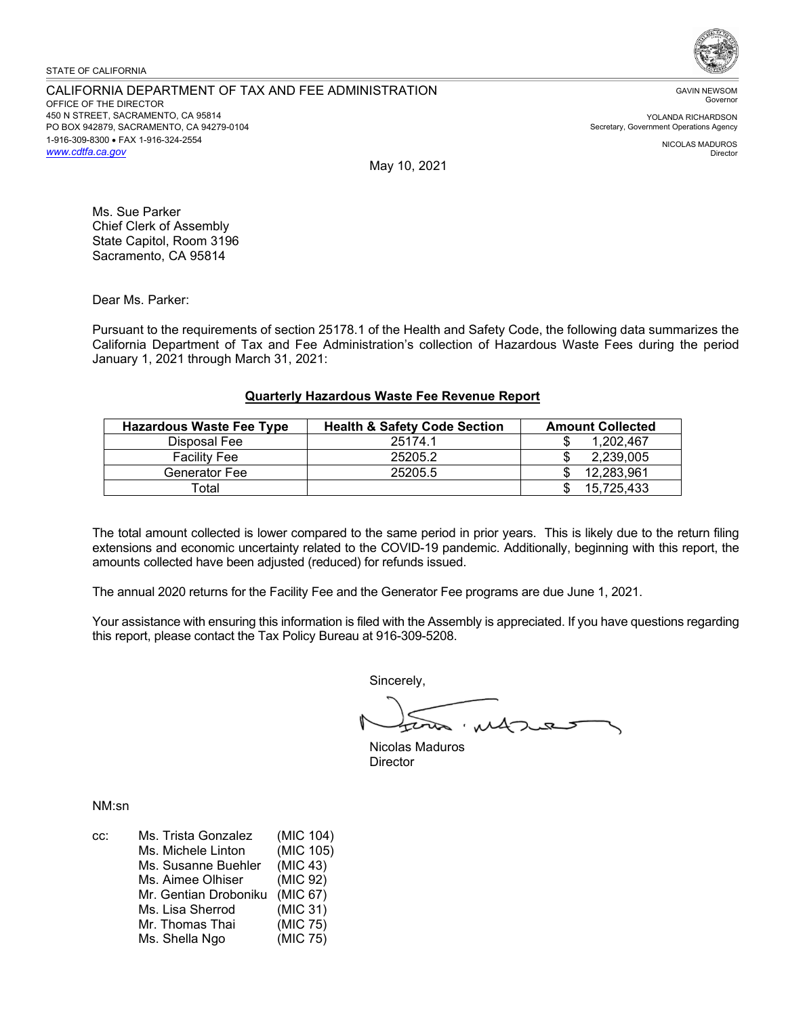#### STATE OF CALIFORNIA

CALIFORNIA DEPARTMENT OF TAX AND FEE ADMINISTRATION OFFICE OF THE DIRECTOR 450 N STREET, SACRAMENTO, CA 95814 PO BOX 942879, SACRAMENTO, CA 94279-0104 1-916-309-8300 • FAX 1-916-324-2554 *<www.cdtfa.ca.gov>*



GAVIN NEWSOM Governor

YOLANDA RICHARDSON Secretary, Government Operations Agency

> NICOLAS MADUROS Director

May 10, 2021

Ms. Sue Parker Chief Clerk of Assembly State Capitol, Room 3196 Sacramento, CA 95814

Dear Ms. Parker:

Pursuant to the requirements of section 25178.1 of the Health and Safety Code, the following data summarizes the California Department of Tax and Fee Administration's collection of Hazardous Waste Fees during the period January 1, 2021 through March 31, 2021:

## **Quarterly Hazardous Waste Fee Revenue Report**

| <b>Hazardous Waste Fee Type</b> | <b>Health &amp; Safety Code Section</b> | <b>Amount Collected</b> |
|---------------------------------|-----------------------------------------|-------------------------|
| Disposal Fee                    | 25174.1                                 | 1.202.467               |
| <b>Facility Fee</b>             | 25205.2                                 | 2.239.005               |
| Generator Fee                   | 25205.5                                 | 12.283.961              |
| Total                           |                                         | 15.725.433              |

The total amount collected is lower compared to the same period in prior years. This is likely due to the return filing extensions and economic uncertainty related to the COVID-19 pandemic. Additionally, beginning with this report, the amounts collected have been adjusted (reduced) for refunds issued.

The annual 2020 returns for the Facility Fee and the Generator Fee programs are due June 1, 2021.

Your assistance with ensuring this information is filed with the Assembly is appreciated. If you have questions regarding this report, please contact the Tax Policy Bureau at 916-309-5208.

Sincerely,

Nicolas Maduros **Director** 

NM:sn

| CC: | Ms. Trista Gonzalez   | (MIC 104) |
|-----|-----------------------|-----------|
|     | Ms. Michele Linton    | (MIC 105) |
|     | Ms. Susanne Buehler   | (MIC 43)  |
|     | Ms. Aimee Olhiser     | (MIC 92)  |
|     | Mr. Gentian Droboniku | (MIC 67)  |
|     | Ms. Lisa Sherrod      | (MIC 31)  |
|     | Mr. Thomas Thai       | (MIC 75)  |
|     | Ms. Shella Ngo        | (MIC 75)  |